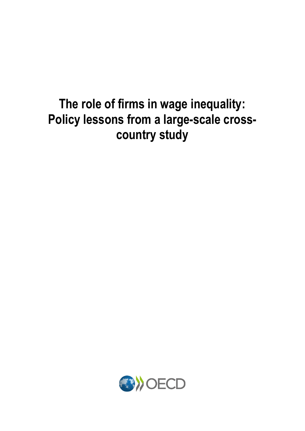## **The role of firms in wage inequality: Policy lessons from a large-scale crosscountry study**

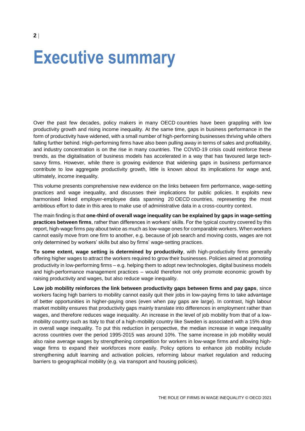## **Executive summary**

Over the past few decades, policy makers in many OECD countries have been grappling with low productivity growth and rising income inequality. At the same time, gaps in business performance in the form of productivity have widened, with a small number of high-performing businesses thriving while others falling further behind. High-performing firms have also been pulling away in terms of sales and profitability, and industry concentration is on the rise in many countries. The COVID-19 crisis could reinforce these trends, as the digitalisation of business models has accelerated in a way that has favoured large techsavvy firms. However, while there is growing evidence that widening gaps in business performance contribute to low aggregate productivity growth, little is known about its implications for wage and, ultimately, income inequality.

This volume presents comprehensive new evidence on the links between firm performance, wage-setting practices and wage inequality, and discusses their implications for public policies. It exploits new harmonised linked employer-employee data spanning 20 OECD countries, representing the most ambitious effort to date in this area to make use of administrative data in a cross-country context.

The main finding is that **one-third of overall wage inequality can be explained by gaps in wage-setting practices between firms**, rather than differences in workers' skills. For the typical country covered by this report, high-wage firms pay about twice as much as low-wage ones for comparable workers. When workers cannot easily move from one firm to another, e.g. because of job search and moving costs, wages are not only determined by workers' skills but also by firms' wage-setting practices.

**To some extent, wage setting is determined by productivity**, with high-productivity firms generally offering higher wages to attract the workers required to grow their businesses. Policies aimed at promoting productivity in low-performing firms – e.g. helping them to adopt new technologies, digital business models and high-performance management practices – would therefore not only promote economic growth by raising productivity and wages, but also reduce wage inequality.

**Low job mobility reinforces the link between productivity gaps between firms and pay gaps**, since workers facing high barriers to mobility cannot easily quit their jobs in low-paying firms to take advantage of better opportunities in higher-paying ones (even when pay gaps are large). In contrast, high labour market mobility ensures that productivity gaps mainly translate into differences in employment rather than wages, and therefore reduces wage inequality. An increase in the level of job mobility from that of a lowmobility country such as Italy to that of a high-mobility country like Sweden is associated with a 15% drop in overall wage inequality. To put this reduction in perspective, the median increase in wage inequality across countries over the period 1995-2015 was around 10%. The same increase in job mobility would also raise average wages by strengthening competition for workers in low-wage firms and allowing highwage firms to expand their workforces more easily. Policy options to enhance job mobility include strengthening adult learning and activation policies, reforming labour market regulation and reducing barriers to geographical mobility (e.g. via transport and housing policies).